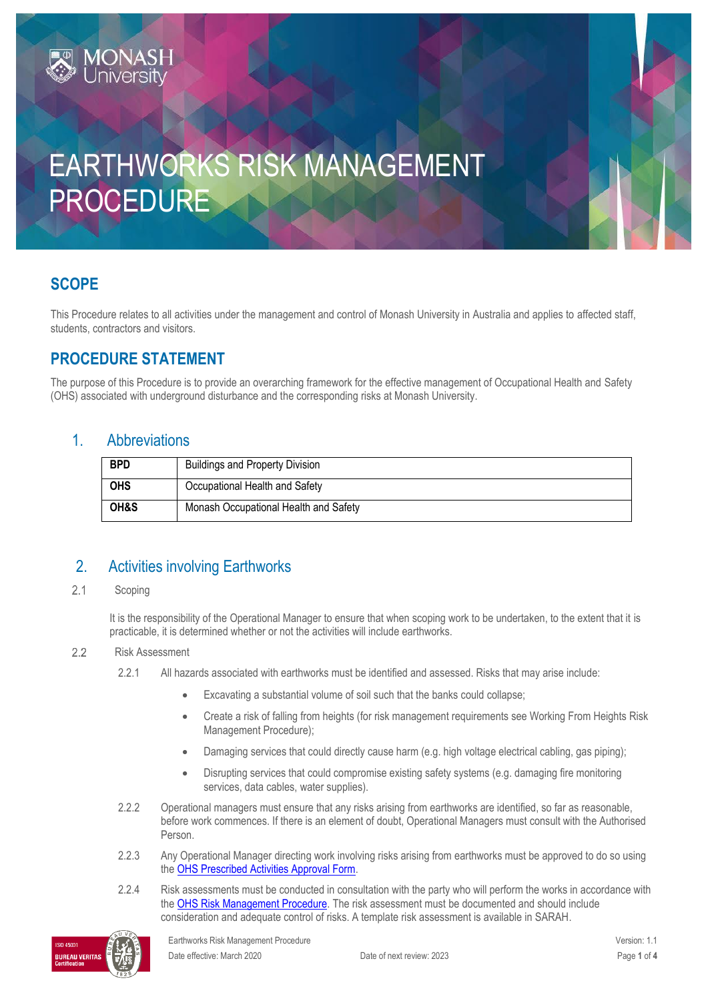# EARTHWORKS RISK MANAGEMENT PROCEDURE

# **SCOPE**

This Procedure relates to all activities under the management and control of Monash University in Australia and applies to affected staff, students, contractors and visitors.

# **PROCEDURE STATEMENT**

**IONAS** 

The purpose of this Procedure is to provide an overarching framework for the effective management of Occupational Health and Safety (OHS) associated with underground disturbance and the corresponding risks at Monash University.

#### 1. Abbreviations

| <b>BPD</b> | <b>Buildings and Property Division</b> |
|------------|----------------------------------------|
| <b>OHS</b> | Occupational Health and Safety         |
| OH&S       | Monash Occupational Health and Safety  |

## 2. Activities involving Earthworks

#### $2.1$ Scoping

It is the responsibility of the Operational Manager to ensure that when scoping work to be undertaken, to the extent that it is practicable, it is determined whether or not the activities will include earthworks.

#### $2.2$ Risk Assessment

- 2.2.1 All hazards associated with earthworks must be identified and assessed. Risks that may arise include:
	- Excavating a substantial volume of soil such that the banks could collapse;
	- Create a risk of falling from heights (for risk management requirements see Working From Heights Risk Management Procedure);
	- Damaging services that could directly cause harm (e.g. high voltage electrical cabling, gas piping);
	- Disrupting services that could compromise existing safety systems (e.g. damaging fire monitoring services, data cables, water supplies).
- 2.2.2 Operational managers must ensure that any risks arising from earthworks are identified, so far as reasonable, before work commences. If there is an element of doubt, Operational Managers must consult with the Authorised Person.
- 2.2.3 Any Operational Manager directing work involving risks arising from earthworks must be approved to do so using the [OHS Prescribed Activities Approval Form.](https://forms.apps.monash.edu/frevvo/web/tn/monash.edu/u/3916c41d-b945-486a-aa56-3a1b2d38f492/app/_U8fbkKaIEeiCS-jJ9nTCoA/flowtype/_GN14YMaeEeipXY-P0bohrQ?_method=post&embed=true)
- 2.2.4 Risk assessments must be conducted in consultation with the party who will perform the works in accordance with the [OHS Risk Management Procedure.](https://publicpolicydms.monash.edu/Monash/documents/1935636) The risk assessment must be documented and should include consideration and adequate control of risks. A template risk assessment is available in SARAH.

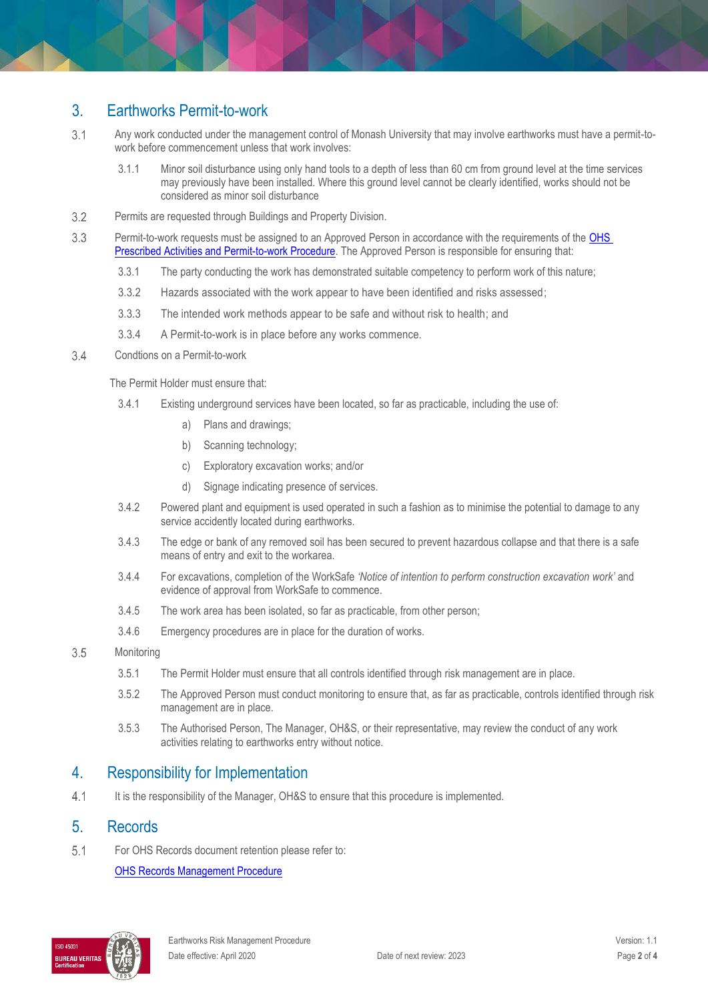### 3. Earthworks Permit-to-work

- $3.1$ Any work conducted under the management control of Monash University that may involve earthworks must have a permit-towork before commencement unless that work involves:
	- 3.1.1 Minor soil disturbance using only hand tools to a depth of less than 60 cm from ground level at the time services may previously have been installed. Where this ground level cannot be clearly identified, works should not be considered as minor soil disturbance
- $3.2$ Permits are requested through Buildings and Property Division.
- 3.3 Permit-to-work requests must be assigned to an Approved Person in accordance with the requirements of the [OHS](https://publicpolicydms.monash.edu/Monash/documents/1935634)  [Prescribed Activities and Permit-to-work Procedure.](https://publicpolicydms.monash.edu/Monash/documents/1935634) The Approved Person is responsible for ensuring that:
	- 3.3.1 The party conducting the work has demonstrated suitable competency to perform work of this nature;
	- 3.3.2 Hazards associated with the work appear to have been identified and risks assessed;
	- 3.3.3 The intended work methods appear to be safe and without risk to health; and
	- 3.3.4 A Permit-to-work is in place before any works commence.
- $3.4$ Condtions on a Permit-to-work

The Permit Holder must ensure that:

- 3.4.1 Existing underground services have been located, so far as practicable, including the use of:
	- a) Plans and drawings;
	- b) Scanning technology;
	- c) Exploratory excavation works; and/or
	- d) Signage indicating presence of services.
- 3.4.2 Powered plant and equipment is used operated in such a fashion as to minimise the potential to damage to any service accidently located during earthworks.
- 3.4.3 The edge or bank of any removed soil has been secured to prevent hazardous collapse and that there is a safe means of entry and exit to the workarea.
- 3.4.4 For excavations, completion of the WorkSafe *'Notice of intention to perform construction excavation work'* and evidence of approval from WorkSafe to commence.
- 3.4.5 The work area has been isolated, so far as practicable, from other person;
- 3.4.6 Emergency procedures are in place for the duration of works.
- 3.5 **Monitoring** 
	- 3.5.1 The Permit Holder must ensure that all controls identified through risk management are in place.
	- 3.5.2 The Approved Person must conduct monitoring to ensure that, as far as practicable, controls identified through risk management are in place.
	- 3.5.3 The Authorised Person, The Manager, OH&S, or their representative, may review the conduct of any work activities relating to earthworks entry without notice.

#### 4. Responsibility for Implementation

 $4.1$ It is the responsibility of the Manager, OH&S to ensure that this procedure is implemented.

### 5. Records

 $5.1$ For OHS Records document retention please refer to:

[OHS Records Management Procedure](https://publicpolicydms.monash.edu/Monash/documents/1935642)

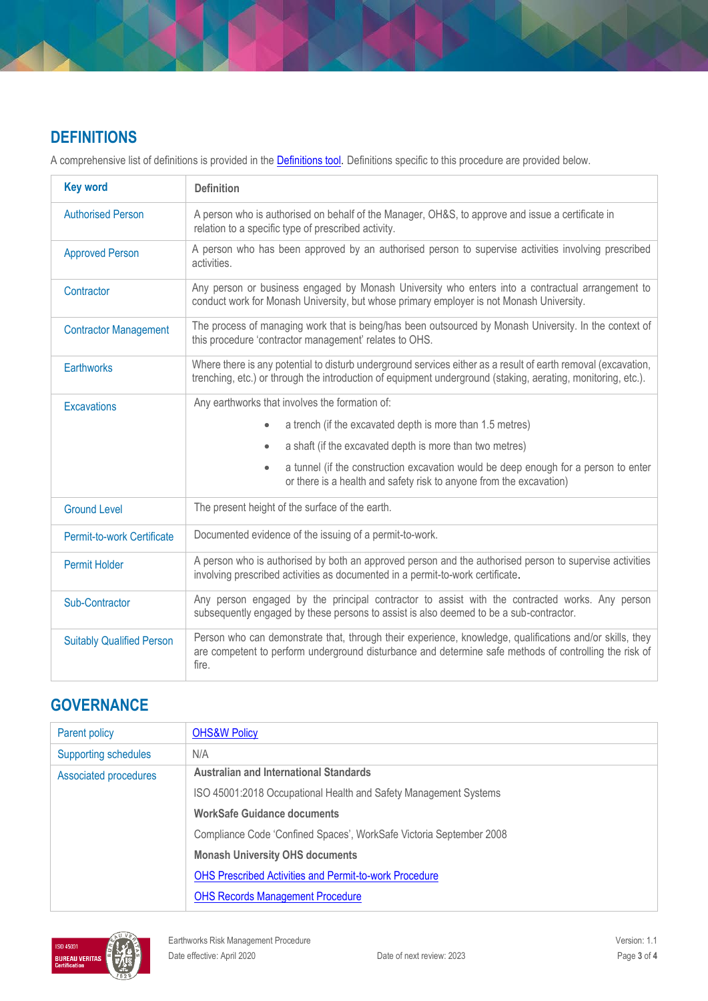# **DEFINITIONS**

A comprehensive list of definitions is provided in the **Definitions tool**. Definitions specific to this procedure are provided below.

| <b>Key word</b>                  | <b>Definition</b>                                                                                                                                                                                                             |  |
|----------------------------------|-------------------------------------------------------------------------------------------------------------------------------------------------------------------------------------------------------------------------------|--|
| <b>Authorised Person</b>         | A person who is authorised on behalf of the Manager, OH&S, to approve and issue a certificate in<br>relation to a specific type of prescribed activity.                                                                       |  |
| <b>Approved Person</b>           | A person who has been approved by an authorised person to supervise activities involving prescribed<br>activities.                                                                                                            |  |
| Contractor                       | Any person or business engaged by Monash University who enters into a contractual arrangement to<br>conduct work for Monash University, but whose primary employer is not Monash University.                                  |  |
| <b>Contractor Management</b>     | The process of managing work that is being/has been outsourced by Monash University. In the context of<br>this procedure 'contractor management' relates to OHS.                                                              |  |
| <b>Earthworks</b>                | Where there is any potential to disturb underground services either as a result of earth removal (excavation,<br>trenching, etc.) or through the introduction of equipment underground (staking, aerating, monitoring, etc.). |  |
| <b>Excavations</b>               | Any earthworks that involves the formation of:                                                                                                                                                                                |  |
|                                  | a trench (if the excavated depth is more than 1.5 metres)<br>$\bullet$                                                                                                                                                        |  |
|                                  | a shaft (if the excavated depth is more than two metres)<br>$\bullet$                                                                                                                                                         |  |
|                                  | a tunnel (if the construction excavation would be deep enough for a person to enter<br>$\bullet$<br>or there is a health and safety risk to anyone from the excavation)                                                       |  |
| <b>Ground Level</b>              | The present height of the surface of the earth.                                                                                                                                                                               |  |
| Permit-to-work Certificate       | Documented evidence of the issuing of a permit-to-work.                                                                                                                                                                       |  |
| <b>Permit Holder</b>             | A person who is authorised by both an approved person and the authorised person to supervise activities<br>involving prescribed activities as documented in a permit-to-work certificate.                                     |  |
| Sub-Contractor                   | Any person engaged by the principal contractor to assist with the contracted works. Any person<br>subsequently engaged by these persons to assist is also deemed to be a sub-contractor.                                      |  |
| <b>Suitably Qualified Person</b> | Person who can demonstrate that, through their experience, knowledge, qualifications and/or skills, they<br>are competent to perform underground disturbance and determine safe methods of controlling the risk of<br>fire.   |  |

# **GOVERNANCE**

| Parent policy               | <b>OHS&amp;W Policy</b>                                             |
|-----------------------------|---------------------------------------------------------------------|
| <b>Supporting schedules</b> | N/A                                                                 |
| Associated procedures       | <b>Australian and International Standards</b>                       |
|                             | ISO 45001:2018 Occupational Health and Safety Management Systems    |
|                             | <b>WorkSafe Guidance documents</b>                                  |
|                             | Compliance Code 'Confined Spaces', WorkSafe Victoria September 2008 |
|                             | <b>Monash University OHS documents</b>                              |
|                             | <b>OHS Prescribed Activities and Permit-to-work Procedure</b>       |
|                             | <b>OHS Records Management Procedure</b>                             |